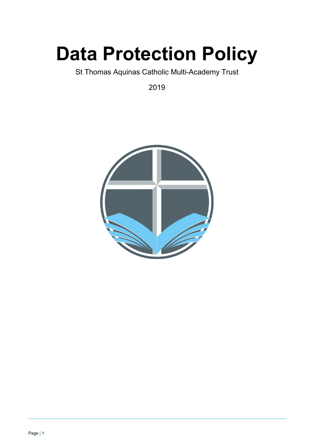# **Data Protection Policy**

St Thomas Aquinas Catholic Multi-Academy Trust

2019

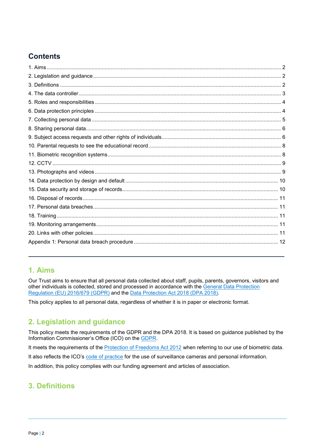# **Contents**

## <span id="page-1-0"></span>**1. Aims**

Our Trust aims to ensure that all personal data collected about staff, pupils, parents, governors, visitors and other individuals is collected, stored and processed in accordance with the [General Data Protection](https://eur-lex.europa.eu/legal-content/EN/TXT/?qid=1528874672298&uri=CELEX:02016R0679-20160504)  Regulation [\(EU\) 2016/679](https://eur-lex.europa.eu/legal-content/EN/TXT/?qid=1528874672298&uri=CELEX:02016R0679-20160504) (GDPR) and the [Data Protection Act 2018 \(DPA 2018\).](http://www.legislation.gov.uk/ukpga/2018/12/contents/enacted)

This policy applies to all personal data, regardless of whether it is in paper or electronic format.

## <span id="page-1-1"></span>**2. Legislation and guidance**

This policy meets the requirements of the GDPR and the DPA 2018. It is based on guidance published by the Information Commissioner's Office (ICO) on the [GDPR.](https://ico.org.uk/for-organisations/guide-to-the-general-data-protection-regulation-gdpr/)

It meets the requirements of the **Protection of Freedoms Act 2012** when referring to our use of biometric data.

It also reflects the ICO's [code of practice](https://ico.org.uk/media/for-organisations/documents/1542/cctv-code-of-practice.pdf) for the use of surveillance cameras and personal information.

In addition, this policy complies with our funding agreement and articles of association.

## <span id="page-1-2"></span>**3. Definitions**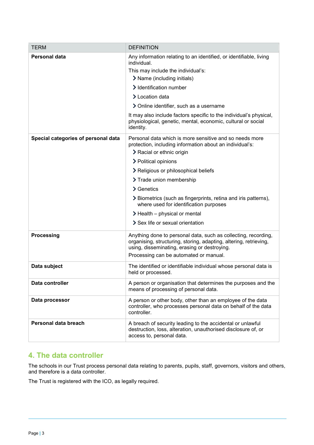| <b>TERM</b>                         | <b>DEFINITION</b>                                                                                                                                                                                                                                                                                                                                                                     |
|-------------------------------------|---------------------------------------------------------------------------------------------------------------------------------------------------------------------------------------------------------------------------------------------------------------------------------------------------------------------------------------------------------------------------------------|
| Personal data                       | Any information relating to an identified, or identifiable, living<br>individual.<br>This may include the individual's:<br>> Name (including initials)<br>> Identification number<br>> Location data<br>> Online identifier, such as a username<br>It may also include factors specific to the individual's physical,<br>physiological, genetic, mental, economic, cultural or social |
|                                     | identity.                                                                                                                                                                                                                                                                                                                                                                             |
| Special categories of personal data | Personal data which is more sensitive and so needs more<br>protection, including information about an individual's:<br>> Racial or ethnic origin                                                                                                                                                                                                                                      |
|                                     | > Political opinions                                                                                                                                                                                                                                                                                                                                                                  |
|                                     | > Religious or philosophical beliefs                                                                                                                                                                                                                                                                                                                                                  |
|                                     | > Trade union membership                                                                                                                                                                                                                                                                                                                                                              |
|                                     | $\geq$ Genetics                                                                                                                                                                                                                                                                                                                                                                       |
|                                     | > Biometrics (such as fingerprints, retina and iris patterns),<br>where used for identification purposes                                                                                                                                                                                                                                                                              |
|                                     | $\blacktriangleright$ Health – physical or mental                                                                                                                                                                                                                                                                                                                                     |
|                                     | > Sex life or sexual orientation                                                                                                                                                                                                                                                                                                                                                      |
| <b>Processing</b>                   | Anything done to personal data, such as collecting, recording,<br>organising, structuring, storing, adapting, altering, retrieving,<br>using, disseminating, erasing or destroying.                                                                                                                                                                                                   |
|                                     | Processing can be automated or manual.                                                                                                                                                                                                                                                                                                                                                |
| Data subject                        | The identified or identifiable individual whose personal data is<br>held or processed.                                                                                                                                                                                                                                                                                                |
| Data controller                     | A person or organisation that determines the purposes and the<br>means of processing of personal data.                                                                                                                                                                                                                                                                                |
| Data processor                      | A person or other body, other than an employee of the data<br>controller, who processes personal data on behalf of the data<br>controller.                                                                                                                                                                                                                                            |
| Personal data breach                | A breach of security leading to the accidental or unlawful<br>destruction, loss, alteration, unauthorised disclosure of, or<br>access to, personal data.                                                                                                                                                                                                                              |

## <span id="page-2-0"></span>**4. The data controller**

The schools in our Trust process personal data relating to parents, pupils, staff, governors, visitors and others, and therefore is a data controller.

The Trust is registered with the ICO, as legally required.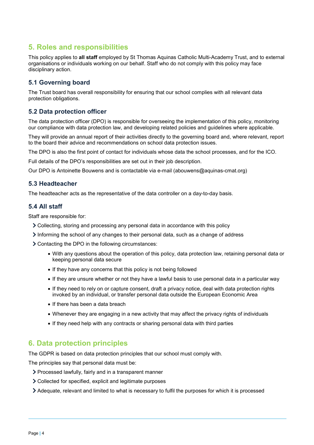# <span id="page-3-0"></span>**5. Roles and responsibilities**

This policy applies to **all staff** employed by St Thomas Aquinas Catholic Multi-Academy Trust, and to external organisations or individuals working on our behalf. Staff who do not comply with this policy may face disciplinary action.

### **5.1 Governing board**

The Trust board has overall responsibility for ensuring that our school complies with all relevant data protection obligations.

#### **5.2 Data protection officer**

The data protection officer (DPO) is responsible for overseeing the implementation of this policy, monitoring our compliance with data protection law, and developing related policies and guidelines where applicable.

They will provide an annual report of their activities directly to the governing board and, where relevant, report to the board their advice and recommendations on school data protection issues.

The DPO is also the first point of contact for individuals whose data the school processes, and for the ICO.

Full details of the DPO's responsibilities are set out in their job description.

Our DPO is Antoinette Bouwens and is contactable via e-mail (abouwens@aquinas-cmat.org)

#### **5.3 Headteacher**

The headteacher acts as the representative of the data controller on a day-to-day basis.

#### **5.4 All staff**

Staff are responsible for:

- Collecting, storing and processing any personal data in accordance with this policy
- $\geq$  Informing the school of any changes to their personal data, such as a change of address

Contacting the DPO in the following circumstances:

- With any questions about the operation of this policy, data protection law, retaining personal data or keeping personal data secure
- If they have any concerns that this policy is not being followed
- If they are unsure whether or not they have a lawful basis to use personal data in a particular way
- If they need to rely on or capture consent, draft a privacy notice, deal with data protection rights invoked by an individual, or transfer personal data outside the European Economic Area
- If there has been a data breach
- Whenever they are engaging in a new activity that may affect the privacy rights of individuals
- If they need help with any contracts or sharing personal data with third parties

## <span id="page-3-1"></span>**6. Data protection principles**

The GDPR is based on data protection principles that our school must comply with.

The principles say that personal data must be:

- Processed lawfully, fairly and in a transparent manner
- Collected for specified, explicit and legitimate purposes
- Adequate, relevant and limited to what is necessary to fulfil the purposes for which it is processed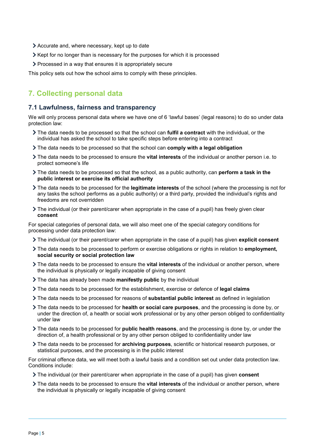- Accurate and, where necessary, kept up to date
- Xept for no longer than is necessary for the purposes for which it is processed
- Processed in a way that ensures it is appropriately secure

This policy sets out how the school aims to comply with these principles.

# <span id="page-4-0"></span>**7. Collecting personal data**

#### **7.1 Lawfulness, fairness and transparency**

We will only process personal data where we have one of 6 'lawful bases' (legal reasons) to do so under data protection law:

- The data needs to be processed so that the school can **fulfil a contract** with the individual, or the individual has asked the school to take specific steps before entering into a contract
- The data needs to be processed so that the school can **comply with a legal obligation**
- The data needs to be processed to ensure the **vital interests** of the individual or another person i.e. to protect someone's life
- The data needs to be processed so that the school, as a public authority, can **perform a task in the public interest or exercise its official authority**
- The data needs to be processed for the **legitimate interests** of the school (where the processing is not for any tasks the school performs as a public authority) or a third party, provided the individual's rights and freedoms are not overridden
- The individual (or their parent/carer when appropriate in the case of a pupil) has freely given clear **consent**

For special categories of personal data, we will also meet one of the special category conditions for processing under data protection law:

- The individual (or their parent/carer when appropriate in the case of a pupil) has given **explicit consent**
- The data needs to be processed to perform or exercise obligations or rights in relation to **employment, social security or social protection law**
- The data needs to be processed to ensure the **vital interests** of the individual or another person, where the individual is physically or legally incapable of giving consent
- The data has already been made **manifestly public** by the individual
- The data needs to be processed for the establishment, exercise or defence of **legal claims**
- The data needs to be processed for reasons of **substantial public interest** as defined in legislation
- The data needs to be processed for **health or social care purposes**, and the processing is done by, or under the direction of, a health or social work professional or by any other person obliged to confidentiality under law
- The data needs to be processed for **public health reasons**, and the processing is done by, or under the direction of, a health professional or by any other person obliged to confidentiality under law
- The data needs to be processed for **archiving purposes**, scientific or historical research purposes, or statistical purposes, and the processing is in the public interest

For criminal offence data, we will meet both a lawful basis and a condition set out under data protection law. Conditions include:

- The individual (or their parent/carer when appropriate in the case of a pupil) has given **consent**
- The data needs to be processed to ensure the **vital interests** of the individual or another person, where the individual is physically or legally incapable of giving consent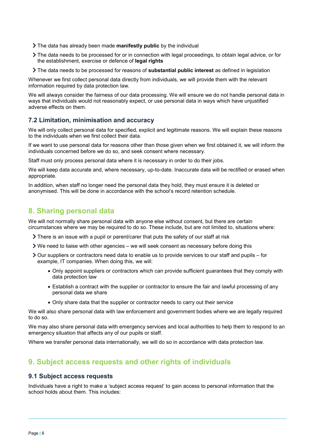- The data has already been made **manifestly public** by the individual
- The data needs to be processed for or in connection with legal proceedings, to obtain legal advice, or for the establishment, exercise or defence of **legal rights**
- The data needs to be processed for reasons of **substantial public interest** as defined in legislation

Whenever we first collect personal data directly from individuals, we will provide them with the relevant information required by data protection law.

We will always consider the fairness of our data processing. We will ensure we do not handle personal data in ways that individuals would not reasonably expect, or use personal data in ways which have unjustified adverse effects on them.

#### **7.2 Limitation, minimisation and accuracy**

We will only collect personal data for specified, explicit and legitimate reasons. We will explain these reasons to the individuals when we first collect their data.

If we want to use personal data for reasons other than those given when we first obtained it, we will inform the individuals concerned before we do so, and seek consent where necessary.

Staff must only process personal data where it is necessary in order to do their jobs.

We will keep data accurate and, where necessary, up-to-date. Inaccurate data will be rectified or erased when appropriate.

In addition, when staff no longer need the personal data they hold, they must ensure it is deleted or anonymised. This will be done in accordance with the school's record retention schedule.

## <span id="page-5-0"></span>**8. Sharing personal data**

We will not normally share personal data with anyone else without consent, but there are certain circumstances where we may be required to do so. These include, but are not limited to, situations where:

- $\sum$  There is an issue with a pupil or parent/carer that puts the safety of our staff at risk
- We need to liaise with other agencies we will seek consent as necessary before doing this
- $\geq$  Our suppliers or contractors need data to enable us to provide services to our staff and pupils for example, IT companies. When doing this, we will:
	- Only appoint suppliers or contractors which can provide sufficient guarantees that they comply with data protection law
	- Establish a contract with the supplier or contractor to ensure the fair and lawful processing of any personal data we share
	- Only share data that the supplier or contractor needs to carry out their service

We will also share personal data with law enforcement and government bodies where we are legally required to do so.

We may also share personal data with emergency services and local authorities to help them to respond to an emergency situation that affects any of our pupils or staff.

Where we transfer personal data internationally, we will do so in accordance with data protection law.

## <span id="page-5-1"></span>**9. Subject access requests and other rights of individuals**

#### **9.1 Subject access requests**

Individuals have a right to make a 'subject access request' to gain access to personal information that the school holds about them. This includes: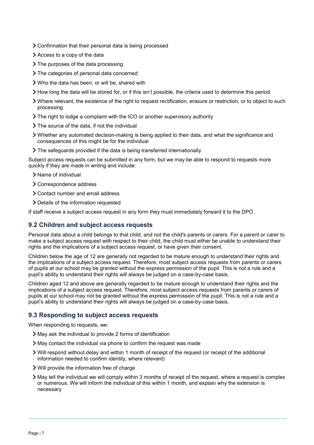- Confirmation that their personal data is being processed
- Access to a copy of the data
- $\sum$  The purposes of the data processing
- > The categories of personal data concerned
- Who the data has been, or will be, shared with
- How long the data will be stored for, or if this isn't possible, the criteria used to determine this period
- Where relevant, the existence of the right to request rectification, erasure or restriction, or to object to such processing
- The right to lodge a complaint with the ICO or another supervisory authority
- > The source of the data, if not the individual
- Whether any automated decision-making is being applied to their data, and what the significance and consequences of this might be for the individual
- The safeguards provided if the data is being transferred internationally

Subject access requests can be submitted in any form, but we may be able to respond to requests more quickly if they are made in writing and include:

- > Name of individual
- > Correspondence address
- Contact number and email address
- > Details of the information requested

If staff receive a subject access request in any form they must immediately forward it to the DPO.

#### **9.2 Children and subject access requests**

Personal data about a child belongs to that child, and not the child's parents or carers. For a parent or carer to make a subject access request with respect to their child, the child must either be unable to understand their rights and the implications of a subject access request, or have given their consent.

Children below the age of 12 are generally not regarded to be mature enough to understand their rights and the implications of a subject access request. Therefore, most subject access requests from parents or carers of pupils at our school may be granted without the express permission of the pupil. This is not a rule and a pupil's ability to understand their rights will always be judged on a case-by-case basis.

Children aged 12 and above are generally regarded to be mature enough to understand their rights and the implications of a subject access request. Therefore, most subject access requests from parents or carers of pupils at our school may not be granted without the express permission of the pupil. This is not a rule and a pupil's ability to understand their rights will always be judged on a case-by-case basis.

#### **9.3 Responding to subject access requests**

When responding to requests, we:

- May ask the individual to provide 2 forms of identification
- May contact the individual via phone to confirm the request was made
- Will respond without delay and within 1 month of receipt of the request (or receipt of the additional information needed to confirm identity, where relevant)
- Will provide the information free of charge
- May tell the individual we will comply within 3 months of receipt of the request, where a request is complex or numerous. We will inform the individual of this within 1 month, and explain why the extension is necessary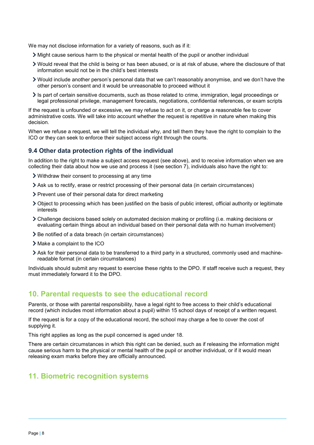We may not disclose information for a variety of reasons, such as if it:

- Might cause serious harm to the physical or mental health of the pupil or another individual
- Would reveal that the child is being or has been abused, or is at risk of abuse, where the disclosure of that information would not be in the child's best interests
- Would include another person's personal data that we can't reasonably anonymise, and we don't have the other person's consent and it would be unreasonable to proceed without it
- $\ge$  Is part of certain sensitive documents, such as those related to crime, immigration, legal proceedings or legal professional privilege, management forecasts, negotiations, confidential references, or exam scripts

If the request is unfounded or excessive, we may refuse to act on it, or charge a reasonable fee to cover administrative costs. We will take into account whether the request is repetitive in nature when making this decision.

When we refuse a request, we will tell the individual why, and tell them they have the right to complain to the ICO or they can seek to enforce their subject access right through the courts.

#### **9.4 Other data protection rights of the individual**

In addition to the right to make a subject access request (see above), and to receive information when we are collecting their data about how we use and process it (see section 7), individuals also have the right to:

- Withdraw their consent to processing at any time
- Ask us to rectify, erase or restrict processing of their personal data (in certain circumstances)
- > Prevent use of their personal data for direct marketing
- Object to processing which has been justified on the basis of public interest, official authority or legitimate interests
- Challenge decisions based solely on automated decision making or profiling (i.e. making decisions or evaluating certain things about an individual based on their personal data with no human involvement)
- > Be notified of a data breach (in certain circumstances)
- > Make a complaint to the ICO
- Ask for their personal data to be transferred to a third party in a structured, commonly used and machinereadable format (in certain circumstances)

Individuals should submit any request to exercise these rights to the DPO. If staff receive such a request, they must immediately forward it to the DPO.

## <span id="page-7-0"></span>**10. Parental requests to see the educational record**

Parents, or those with parental responsibility, have a legal right to free access to their child's educational record (which includes most information about a pupil) within 15 school days of receipt of a written request.

If the request is for a copy of the educational record, the school may charge a fee to cover the cost of supplying it.

This right applies as long as the pupil concerned is aged under 18.

There are certain circumstances in which this right can be denied, such as if releasing the information might cause serious harm to the physical or mental health of the pupil or another individual, or if it would mean releasing exam marks before they are officially announced.

## <span id="page-7-1"></span>**11. Biometric recognition systems**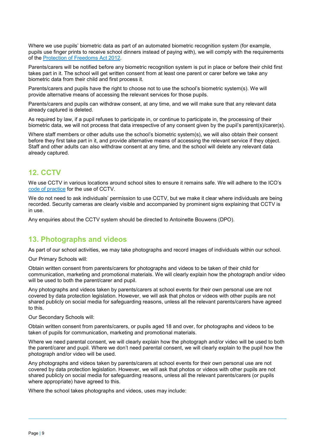Where we use pupils' biometric data as part of an automated biometric recognition system (for example, pupils use finger prints to receive school dinners instead of paying with), we will comply with the requirements of the [Protection of Freedoms Act 2012.](https://www.legislation.gov.uk/ukpga/2012/9/section/26)

Parents/carers will be notified before any biometric recognition system is put in place or before their child first takes part in it. The school will get written consent from at least one parent or carer before we take any biometric data from their child and first process it.

Parents/carers and pupils have the right to choose not to use the school's biometric system(s). We will provide alternative means of accessing the relevant services for those pupils.

Parents/carers and pupils can withdraw consent, at any time, and we will make sure that any relevant data already captured is deleted.

As required by law, if a pupil refuses to participate in, or continue to participate in, the processing of their biometric data, we will not process that data irrespective of any consent given by the pupil's parent(s)/carer(s).

Where staff members or other adults use the school's biometric system(s), we will also obtain their consent before they first take part in it, and provide alternative means of accessing the relevant service if they object. Staff and other adults can also withdraw consent at any time, and the school will delete any relevant data already captured.

## <span id="page-8-0"></span>**12. CCTV**

We use CCTV in various locations around school sites to ensure it remains safe. We will adhere to the ICO's [code of practice](https://ico.org.uk/media/for-organisations/documents/1542/cctv-code-of-practice.pdf) for the use of CCTV.

We do not need to ask individuals' permission to use CCTV, but we make it clear where individuals are being recorded. Security cameras are clearly visible and accompanied by prominent signs explaining that CCTV is in use.

Any enquiries about the CCTV system should be directed to Antoinette Bouwens (DPO).

## <span id="page-8-1"></span>**13. Photographs and videos**

As part of our school activities, we may take photographs and record images of individuals within our school.

Our Primary Schools will:

Obtain written consent from parents/carers for photographs and videos to be taken of their child for communication, marketing and promotional materials. We will clearly explain how the photograph and/or video will be used to both the parent/carer and pupil.

Any photographs and videos taken by parents/carers at school events for their own personal use are not covered by data protection legislation. However, we will ask that photos or videos with other pupils are not shared publicly on social media for safeguarding reasons, unless all the relevant parents/carers have agreed to this.

Our Secondary Schools will:

Obtain written consent from parents/carers, or pupils aged 18 and over, for photographs and videos to be taken of pupils for communication, marketing and promotional materials.

Where we need parental consent, we will clearly explain how the photograph and/or video will be used to both the parent/carer and pupil. Where we don't need parental consent, we will clearly explain to the pupil how the photograph and/or video will be used.

Any photographs and videos taken by parents/carers at school events for their own personal use are not covered by data protection legislation. However, we will ask that photos or videos with other pupils are not shared publicly on social media for safeguarding reasons, unless all the relevant parents/carers (or pupils where appropriate) have agreed to this.

Where the school takes photographs and videos, uses may include: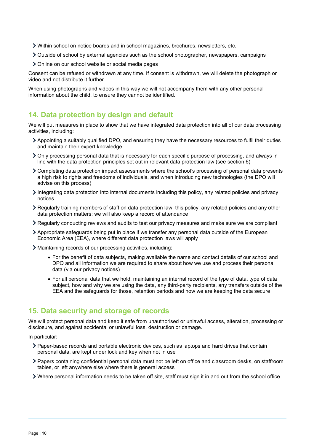- Within school on notice boards and in school magazines, brochures, newsletters, etc.
- Outside of school by external agencies such as the school photographer, newspapers, campaigns
- > Online on our school website or social media pages

Consent can be refused or withdrawn at any time. If consent is withdrawn, we will delete the photograph or video and not distribute it further.

When using photographs and videos in this way we will not accompany them with any other personal information about the child, to ensure they cannot be identified.

## <span id="page-9-0"></span>**14. Data protection by design and default**

We will put measures in place to show that we have integrated data protection into all of our data processing activities, including:

- Appointing a suitably qualified DPO, and ensuring they have the necessary resources to fulfil their duties and maintain their expert knowledge
- Only processing personal data that is necessary for each specific purpose of processing, and always in line with the data protection principles set out in relevant data protection law (see section 6)
- Completing data protection impact assessments where the school's processing of personal data presents a high risk to rights and freedoms of individuals, and when introducing new technologies (the DPO will advise on this process)
- Integrating data protection into internal documents including this policy, any related policies and privacy notices
- Regularly training members of staff on data protection law, this policy, any related policies and any other data protection matters; we will also keep a record of attendance
- Regularly conducting reviews and audits to test our privacy measures and make sure we are compliant
- Appropriate safeguards being put in place if we transfer any personal data outside of the European Economic Area (EEA), where different data protection laws will apply
- Maintaining records of our processing activities, including:
	- For the benefit of data subjects, making available the name and contact details of our school and DPO and all information we are required to share about how we use and process their personal data (via our privacy notices)
	- For all personal data that we hold, maintaining an internal record of the type of data, type of data subject, how and why we are using the data, any third-party recipients, any transfers outside of the EEA and the safeguards for those, retention periods and how we are keeping the data secure

## <span id="page-9-1"></span>**15. Data security and storage of records**

We will protect personal data and keep it safe from unauthorised or unlawful access, alteration, processing or disclosure, and against accidental or unlawful loss, destruction or damage.

In particular:

- Paper-based records and portable electronic devices, such as laptops and hard drives that contain personal data, are kept under lock and key when not in use
- Papers containing confidential personal data must not be left on office and classroom desks, on staffroom tables, or left anywhere else where there is general access
- Where personal information needs to be taken off site, staff must sign it in and out from the school office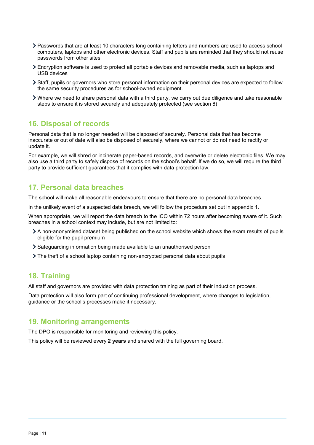- Passwords that are at least 10 characters long containing letters and numbers are used to access school computers, laptops and other electronic devices. Staff and pupils are reminded that they should not reuse passwords from other sites
- Encryption software is used to protect all portable devices and removable media, such as laptops and USB devices
- Staff, pupils or governors who store personal information on their personal devices are expected to follow the same security procedures as for school-owned equipment.
- Where we need to share personal data with a third party, we carry out due diligence and take reasonable steps to ensure it is stored securely and adequately protected (see section 8)

## <span id="page-10-0"></span>**16. Disposal of records**

Personal data that is no longer needed will be disposed of securely. Personal data that has become inaccurate or out of date will also be disposed of securely, where we cannot or do not need to rectify or update it.

For example, we will shred or incinerate paper-based records, and overwrite or delete electronic files. We may also use a third party to safely dispose of records on the school's behalf. If we do so, we will require the third party to provide sufficient guarantees that it complies with data protection law.

# <span id="page-10-1"></span>**17. Personal data breaches**

The school will make all reasonable endeavours to ensure that there are no personal data breaches.

In the unlikely event of a suspected data breach, we will follow the procedure set out in appendix 1.

When appropriate, we will report the data breach to the ICO within 72 hours after becoming aware of it. Such breaches in a school context may include, but are not limited to:

- A non-anonymised dataset being published on the school website which shows the exam results of pupils eligible for the pupil premium
- Safeguarding information being made available to an unauthorised person
- The theft of a school laptop containing non-encrypted personal data about pupils

## <span id="page-10-2"></span>**18. Training**

All staff and governors are provided with data protection training as part of their induction process.

Data protection will also form part of continuing professional development, where changes to legislation, guidance or the school's processes make it necessary.

## <span id="page-10-3"></span>**19. Monitoring arrangements**

The DPO is responsible for monitoring and reviewing this policy.

<span id="page-10-5"></span><span id="page-10-4"></span>This policy will be reviewed every **2 years** and shared with the full governing board.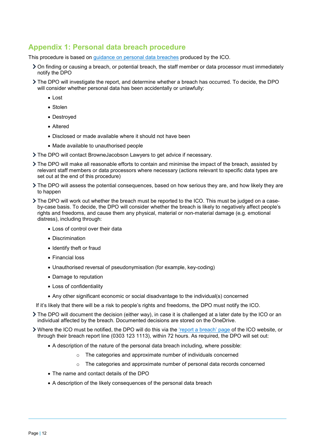## **Appendix 1: Personal data breach procedure**

This procedure is based on [guidance on personal data breaches](https://ico.org.uk/for-organisations/guide-to-the-general-data-protection-regulation-gdpr/personal-data-breaches/) produced by the ICO.

- On finding or causing a breach, or potential breach, the staff member or data processor must immediately notify the DPO
- The DPO will investigate the report, and determine whether a breach has occurred. To decide, the DPO will consider whether personal data has been accidentally or unlawfully:
	- Lost
	- Stolen
	- Destroyed
	- Altered
	- Disclosed or made available where it should not have been
	- Made available to unauthorised people
- The DPO will contact BrowneJacobson Lawyers to get advice if necessary.
- The DPO will make all reasonable efforts to contain and minimise the impact of the breach, assisted by relevant staff members or data processors where necessary (actions relevant to specific data types are set out at the end of this procedure)
- The DPO will assess the potential consequences, based on how serious they are, and how likely they are to happen
- The DPO will work out whether the breach must be reported to the ICO. This must be judged on a caseby-case basis. To decide, the DPO will consider whether the breach is likely to negatively affect people's rights and freedoms, and cause them any physical, material or non-material damage (e.g. emotional distress), including through:
	- Loss of control over their data
	- Discrimination
	- Identify theft or fraud
	- Financial loss
	- Unauthorised reversal of pseudonymisation (for example, key-coding)
	- Damage to reputation
	- Loss of confidentiality
	- Any other significant economic or social disadvantage to the individual(s) concerned
- If it's likely that there will be a risk to people's rights and freedoms, the DPO must notify the ICO.
- The DPO will document the decision (either way), in case it is challenged at a later date by the ICO or an individual affected by the breach. Documented decisions are stored on the OneDrive.
- Where the ICO must be notified, the DPO will do this via the ['report a breach' page](https://ico.org.uk/for-organisations/report-a-breach/) of the ICO website, or through their breach report line (0303 123 1113), within 72 hours. As required, the DPO will set out:
	- A description of the nature of the personal data breach including, where possible:
		- o The categories and approximate number of individuals concerned
		- o The categories and approximate number of personal data records concerned
	- The name and contact details of the DPO
	- A description of the likely consequences of the personal data breach